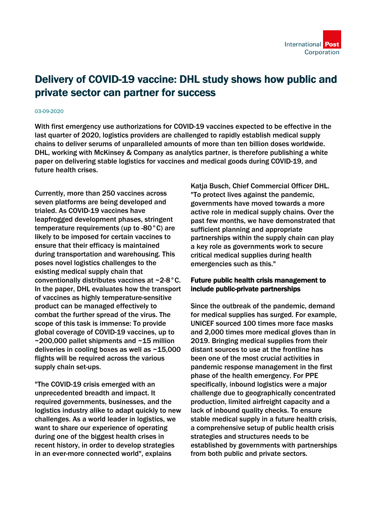## Delivery of COVID-19 vaccine: DHL study shows how public and private sector can partner for success

## 03-09-2020

With first emergency use authorizations for COVID-19 vaccines expected to be effective in the last quarter of 2020, logistics providers are challenged to rapidly establish medical supply chains to deliver serums of unparalleled amounts of more than ten billion doses worldwide. DHL, working with McKinsey & Company as analytics partner, is therefore publishing a white paper on delivering stable logistics for vaccines and medical goods during COVID-19, and future health crises.

Currently, more than 250 vaccines across seven platforms are being developed and trialed. As COVID-19 vaccines have leapfrogged development phases, stringent temperature requirements (up to -80°C) are likely to be imposed for certain vaccines to ensure that their efficacy is maintained during transportation and warehousing. This poses novel logistics challenges to the existing medical supply chain that conventionally distributes vaccines at ~2-8°C. In the paper, DHL evaluates how the transport of vaccines as highly temperature-sensitive product can be managed effectively to combat the further spread of the virus. The scope of this task is immense: To provide global coverage of COVID-19 vaccines, up to  $\sim$  200,000 pallet shipments and  $\sim$  15 million deliveries in cooling boxes as well as ~15,000 flights will be required across the various supply chain set-ups.

"The COVID-19 crisis emerged with an unprecedented breadth and impact. It required governments, businesses, and the logistics industry alike to adapt quickly to new challenges. As a world leader in logistics, we want to share our experience of operating during one of the biggest health crises in recent history, in order to develop strategies in an ever-more connected world", explains

Katja Busch, Chief Commercial Officer DHL. "To protect lives against the pandemic, governments have moved towards a more active role in medical supply chains. Over the past few months, we have demonstrated that sufficient planning and appropriate partnerships within the supply chain can play a key role as governments work to secure critical medical supplies during health emergencies such as this."

## Future public health crisis management to include public-private partnerships

Since the outbreak of the pandemic, demand for medical supplies has surged. For example, UNICEF sourced 100 times more face masks and 2,000 times more medical gloves than in 2019. Bringing medical supplies from their distant sources to use at the frontline has been one of the most crucial activities in pandemic response management in the first phase of the health emergency. For PPE specifically, inbound logistics were a major challenge due to geographically concentrated production, limited airfreight capacity and a lack of inbound quality checks. To ensure stable medical supply in a future health crisis, a comprehensive setup of public health crisis strategies and structures needs to be established by governments with partnerships from both public and private sectors.